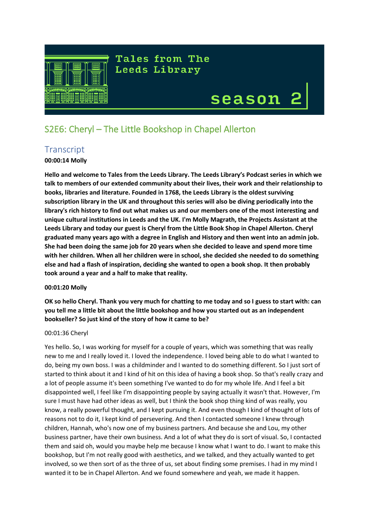

Tales from The **Leeds Library** 

# season

# S2E6: Cheryl – The Little Bookshop in Chapel Allerton

## **Transcript**

## **00:00:14 Molly**

**Hello and welcome to Tales from the Leeds Library. The Leeds Library's Podcast series in which we talk to members of our extended community about their lives, their work and their relationship to books, libraries and literature. Founded in 1768, the Leeds Library is the oldest surviving subscription library in the UK and throughout this series will also be diving periodically into the library's rich history to find out what makes us and our members one of the most interesting and unique cultural institutions in Leeds and the UK. I'm Molly Magrath, the Projects Assistant at the Leeds Library and today our guest is Cheryl from the Little Book Shop in Chapel Allerton. Cheryl graduated many years ago with a degree in English and History and then went into an admin job. She had been doing the same job for 20 years when she decided to leave and spend more time with her children. When all her children were in school, she decided she needed to do something else and had a flash of inspiration, deciding she wanted to open a book shop. It then probably took around a year and a half to make that reality.**

## **00:01:20 Molly**

**OK so hello Cheryl. Thank you very much for chatting to me today and so I guess to start with: can you tell me a little bit about the little bookshop and how you started out as an independent bookseller? So just kind of the story of how it came to be?**

## 00:01:36 Cheryl

Yes hello. So, I was working for myself for a couple of years, which was something that was really new to me and I really loved it. I loved the independence. I loved being able to do what I wanted to do, being my own boss. I was a childminder and I wanted to do something different. So I just sort of started to think about it and I kind of hit on this idea of having a book shop. So that's really crazy and a lot of people assume it's been something I've wanted to do for my whole life. And I feel a bit disappointed well, I feel like I'm disappointing people by saying actually it wasn't that. However, I'm sure I must have had other ideas as well, but I think the book shop thing kind of was really, you know, a really powerful thought, and I kept pursuing it. And even though I kind of thought of lots of reasons not to do it, I kept kind of persevering. And then I contacted someone I knew through children, Hannah, who's now one of my business partners. And because she and Lou, my other business partner, have their own business. And a lot of what they do is sort of visual. So, I contacted them and said oh, would you maybe help me because I know what I want to do. I want to make this bookshop, but I'm not really good with aesthetics, and we talked, and they actually wanted to get involved, so we then sort of as the three of us, set about finding some premises. I had in my mind I wanted it to be in Chapel Allerton. And we found somewhere and yeah, we made it happen.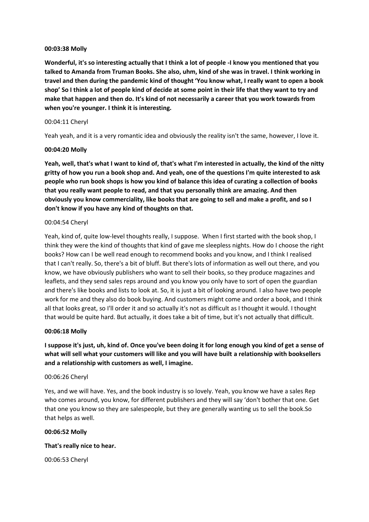## **00:03:38 Molly**

**Wonderful, it's so interesting actually that I think a lot of people -I know you mentioned that you talked to Amanda from Truman Books. She also, uhm, kind of she was in travel. I think working in travel and then during the pandemic kind of thought 'You know what, I really want to open a book shop' So I think a lot of people kind of decide at some point in their life that they want to try and make that happen and then do. It's kind of not necessarily a career that you work towards from when you're younger. I think it is interesting.**

## 00:04:11 Cheryl

Yeah yeah, and it is a very romantic idea and obviously the reality isn't the same, however, I love it.

## **00:04:20 Molly**

**Yeah, well, that's what I want to kind of, that's what I'm interested in actually, the kind of the nitty gritty of how you run a book shop and. And yeah, one of the questions I'm quite interested to ask people who run book shops is how you kind of balance this idea of curating a collection of books that you really want people to read, and that you personally think are amazing. And then obviously you know commerciality, like books that are going to sell and make a profit, and so I don't know if you have any kind of thoughts on that.**

## 00:04:54 Cheryl

Yeah, kind of, quite low-level thoughts really, I suppose. When I first started with the book shop, I think they were the kind of thoughts that kind of gave me sleepless nights. How do I choose the right books? How can I be well read enough to recommend books and you know, and I think I realised that I can't really. So, there's a bit of bluff. But there's lots of information as well out there, and you know, we have obviously publishers who want to sell their books, so they produce magazines and leaflets, and they send sales reps around and you know you only have to sort of open the guardian and there's like books and lists to look at. So, it is just a bit of looking around. I also have two people work for me and they also do book buying. And customers might come and order a book, and I think all that looks great, so I'll order it and so actually it's not as difficult as I thought it would. I thought that would be quite hard. But actually, it does take a bit of time, but it's not actually that difficult.

## **00:06:18 Molly**

**I suppose it's just, uh, kind of. Once you've been doing it for long enough you kind of get a sense of what will sell what your customers will like and you will have built a relationship with booksellers and a relationship with customers as well, I imagine.**

#### 00:06:26 Cheryl

Yes, and we will have. Yes, and the book industry is so lovely. Yeah, you know we have a sales Rep who comes around, you know, for different publishers and they will say 'don't bother that one. Get that one you know so they are salespeople, but they are generally wanting us to sell the book.So that helps as well.

#### **00:06:52 Molly**

## **That's really nice to hear.**

00:06:53 Cheryl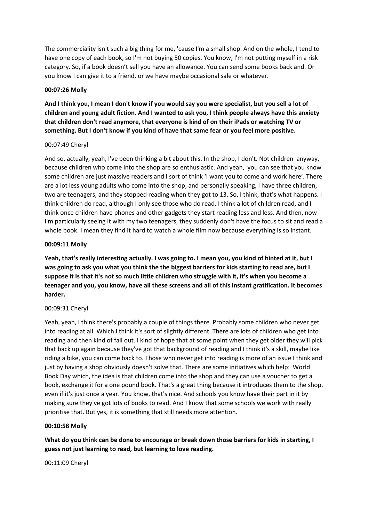The commerciality isn't such a big thing for me, 'cause I'm a small shop. And on the whole, I tend to have one copy of each book, so I'm not buying 50 copies. You know, I'm not putting myself in a risk category. So, if a book doesn't sell you have an allowance. You can send some books back and. Or you know I can give it to a friend, or we have maybe occasional sale or whatever.

## **00:07:26 Molly**

**And I think you, I mean I don't know if you would say you were specialist, but you sell a lot of children and young adult fiction. And I wanted to ask you, I think people always have this anxiety that children don't read anymore, that everyone is kind of on their iPads or watching TV or something. But I don't know if you kind of have that same fear or you feel more positive.**

## 00:07:49 Cheryl

And so, actually, yeah, I've been thinking a bit about this. In the shop, I don't. Not children anyway, because children who come into the shop are so enthusiastic. And yeah, you can see that you know some children are just massive readers and I sort of think 'I want you to come and work here'. There are a lot less young adults who come into the shop, and personally speaking, I have three children, two are teenagers, and they stopped reading when they got to 13. So, I think, that's what happens. I think children do read, although I only see those who do read. I think a lot of children read, and I think once children have phones and other gadgets they start reading less and less. And then, now I'm particularly seeing it with my two teenagers, they suddenly don't have the focus to sit and read a whole book. I mean they find it hard to watch a whole film now because everything is so instant.

## **00:09:11 Molly**

**Yeah, that's really interesting actually. I was going to. I mean you, you kind of hinted at it, but I was going to ask you what you think the the biggest barriers for kids starting to read are, but I suppose it is that it's not so much little children who struggle with it, it's when you become a teenager and you, you know, have all these screens and all of this instant gratification. It becomes harder.**

## 00:09:31 Cheryl

Yeah, yeah, I think there's probably a couple of things there. Probably some children who never get into reading at all. Which I think it's sort of slightly different. There are lots of children who get into reading and then kind of fall out. I kind of hope that at some point when they get older they will pick that back up again because they've got that background of reading and I think it's a skill, maybe like riding a bike, you can come back to. Those who never get into reading is more of an issue I think and just by having a shop obviously doesn't solve that. There are some initiatives which help: World Book Day which, the idea is that children come into the shop and they can use a voucher to get a book, exchange it for a one pound book. That's a great thing because it introduces them to the shop, even if it's just once a year. You know, that's nice. And schools you know have their part in it by making sure they've got lots of books to read. And I know that some schools we work with really prioritise that. But yes, it is something that still needs more attention.

## **00:10:58 Molly**

**What do you think can be done to encourage or break down those barriers for kids in starting, I guess not just learning to read, but learning to love reading.**

00:11:09 Cheryl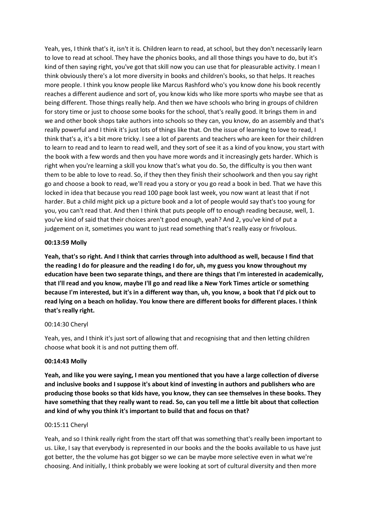Yeah, yes, I think that's it, isn't it is. Children learn to read, at school, but they don't necessarily learn to love to read at school. They have the phonics books, and all those things you have to do, but it's kind of then saying right, you've got that skill now you can use that for pleasurable activity. I mean I think obviously there's a lot more diversity in books and children's books, so that helps. It reaches more people. I think you know people like Marcus Rashford who's you know done his book recently reaches a different audience and sort of, you know kids who like more sports who maybe see that as being different. Those things really help. And then we have schools who bring in groups of children for story time or just to choose some books for the school, that's really good. It brings them in and we and other book shops take authors into schools so they can, you know, do an assembly and that's really powerful and I think it's just lots of things like that. On the issue of learning to love to read, I think that's a, it's a bit more tricky. I see a lot of parents and teachers who are keen for their children to learn to read and to learn to read well, and they sort of see it as a kind of you know, you start with the book with a few words and then you have more words and it increasingly gets harder. Which is right when you're learning a skill you know that's what you do. So, the difficulty is you then want them to be able to love to read. So, if they then they finish their schoolwork and then you say right go and choose a book to read, we'll read you a story or you go read a book in bed. That we have this locked in idea that because you read 100 page book last week, you now want at least that if not harder. But a child might pick up a picture book and a lot of people would say that's too young for you, you can't read that. And then I think that puts people off to enough reading because, well, 1. you've kind of said that their choices aren't good enough, yeah? And 2, you've kind of put a judgement on it, sometimes you want to just read something that's really easy or frivolous.

## **00:13:59 Molly**

**Yeah, that's so right. And I think that carries through into adulthood as well, because I find that the reading I do for pleasure and the reading I do for, uh, my guess you know throughout my education have been two separate things, and there are things that I'm interested in academically, that I'll read and you know, maybe I'll go and read like a New York Times article or something because I'm interested, but it's in a different way than, uh, you know, a book that I'd pick out to read lying on a beach on holiday. You know there are different books for different places. I think that's really right.** 

#### 00:14:30 Cheryl

Yeah, yes, and I think it's just sort of allowing that and recognising that and then letting children choose what book it is and not putting them off.

#### **00:14:43 Molly**

**Yeah, and like you were saying, I mean you mentioned that you have a large collection of diverse and inclusive books and I suppose it's about kind of investing in authors and publishers who are producing those books so that kids have, you know, they can see themselves in these books. They have something that they really want to read. So, can you tell me a little bit about that collection and kind of why you think it's important to build that and focus on that?**

#### 00:15:11 Cheryl

Yeah, and so I think really right from the start off that was something that's really been important to us. Like, I say that everybody is represented in our books and the the books available to us have just got better, the the volume has got bigger so we can be maybe more selective even in what we're choosing. And initially, I think probably we were looking at sort of cultural diversity and then more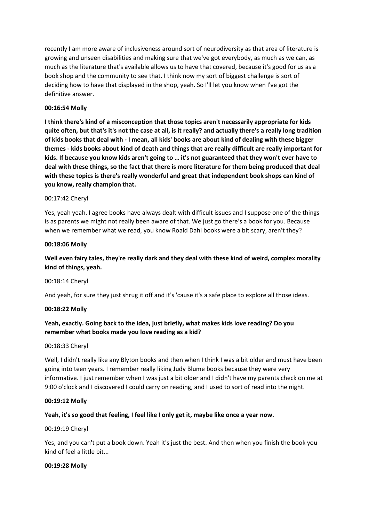recently I am more aware of inclusiveness around sort of neurodiversity as that area of literature is growing and unseen disabilities and making sure that we've got everybody, as much as we can, as much as the literature that's available allows us to have that covered, because it's good for us as a book shop and the community to see that. I think now my sort of biggest challenge is sort of deciding how to have that displayed in the shop, yeah. So I'll let you know when I've got the definitive answer.

## **00:16:54 Molly**

**I think there's kind of a misconception that those topics aren't necessarily appropriate for kids quite often, but that's it's not the case at all, is it really? and actually there's a really long tradition of kids books that deal with - I mean, all kids' books are about kind of dealing with these bigger themes - kids books about kind of death and things that are really difficult are really important for kids. If because you know kids aren't going to … it's not guaranteed that they won't ever have to deal with these things, so the fact that there is more literature for them being produced that deal with these topics is there's really wonderful and great that independent book shops can kind of you know, really champion that.**

## 00:17:42 Cheryl

Yes, yeah yeah. I agree books have always dealt with difficult issues and I suppose one of the things is as parents we might not really been aware of that. We just go there's a book for you. Because when we remember what we read, you know Roald Dahl books were a bit scary, aren't they?

## **00:18:06 Molly**

## **Well even fairy tales, they're really dark and they deal with these kind of weird, complex morality kind of things, yeah.**

## 00:18:14 Cheryl

And yeah, for sure they just shrug it off and it's 'cause it's a safe place to explore all those ideas.

## **00:18:22 Molly**

## **Yeah, exactly. Going back to the idea, just briefly, what makes kids love reading? Do you remember what books made you love reading as a kid?**

## 00:18:33 Cheryl

Well, I didn't really like any Blyton books and then when I think I was a bit older and must have been going into teen years. I remember really liking Judy Blume books because they were very informative. I just remember when I was just a bit older and I didn't have my parents check on me at 9:00 o'clock and I discovered I could carry on reading, and I used to sort of read into the night.

## **00:19:12 Molly**

## **Yeah, it's so good that feeling, I feel like I only get it, maybe like once a year now.**

## 00:19:19 Cheryl

Yes, and you can't put a book down. Yeah it's just the best. And then when you finish the book you kind of feel a little bit...

## **00:19:28 Molly**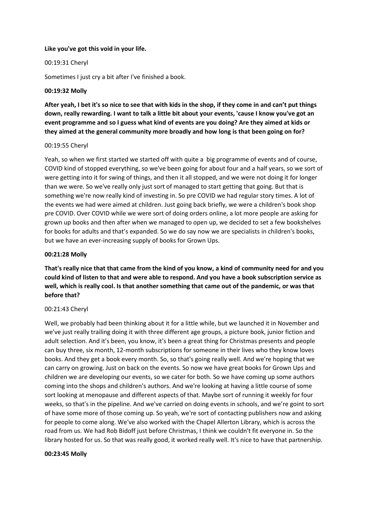## **Like you've got this void in your life.**

## 00:19:31 Cheryl

Sometimes I just cry a bit after I've finished a book.

## **00:19:32 Molly**

**After yeah, I bet it's so nice to see that with kids in the shop, if they come in and can't put things down, really rewarding. I want to talk a little bit about your events, 'cause I know you've got an event programme and so I guess what kind of events are you doing? Are they aimed at kids or they aimed at the general community more broadly and how long is that been going on for?**

#### 00:19:55 Cheryl

Yeah, so when we first started we started off with quite a big programme of events and of course, COVID kind of stopped everything, so we've been going for about four and a half years, so we sort of were getting into it for swing of things, and then it all stopped, and we were not doing it for longer than we were. So we've really only just sort of managed to start getting that going. But that is something we're now really kind of investing in. So pre COVID we had regular story times. A lot of the events we had were aimed at children. Just going back briefly, we were a children's book shop pre COVID. Over COVID while we were sort of doing orders online, a lot more people are asking for grown up books and then after when we managed to open up, we decided to set a few bookshelves for books for adults and that's expanded. So we do say now we are specialists in children's books, but we have an ever-increasing supply of books for Grown Ups.

## **00:21:28 Molly**

**That's really nice that that came from the kind of you know, a kind of community need for and you could kind of listen to that and were able to respond. And you have a book subscription service as well, which is really cool. Is that another something that came out of the pandemic, or was that before that?**

## 00:21:43 Cheryl

Well, we probably had been thinking about it for a little while, but we launched it in November and we've just really trailing doing it with three different age groups, a picture book, junior fiction and adult selection. And it's been, you know, it's been a great thing for Christmas presents and people can buy three, six month, 12-month subscriptions for someone in their lives who they know loves books. And they get a book every month. So, so that's going really well. And we're hoping that we can carry on growing. Just on back on the events. So now we have great books for Grown Ups and children we are developing our events, so we cater for both. So we have coming up some authors coming into the shops and children's authors. And we're looking at having a little course of some sort looking at menopause and different aspects of that. Maybe sort of running it weekly for four weeks, so that's in the pipeline. And we've carried on doing events in schools, and we're goint to sort of have some more of those coming up. So yeah, we're sort of contacting publishers now and asking for people to come along. We've also worked with the Chapel Allerton Library, which is across the road from us. We had Rob Bidoff just before Christmas, I think we couldn't fit everyone in. So the library hosted for us. So that was really good, it worked really well. It's nice to have that partnership.

#### **00:23:45 Molly**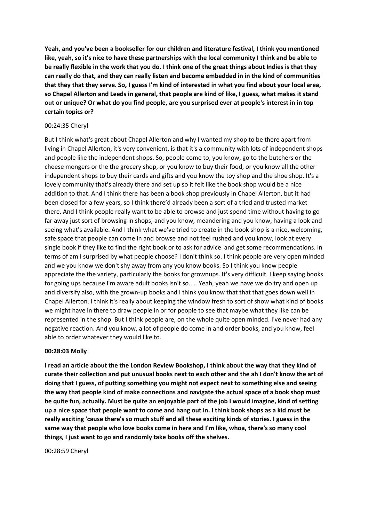**Yeah, and you've been a bookseller for our children and literature festival, I think you mentioned like, yeah, so it's nice to have these partnerships with the local community I think and be able to be really flexible in the work that you do. I think one of the great things about Indies is that they can really do that, and they can really listen and become embedded in in the kind of communities that they that they serve. So, I guess I'm kind of interested in what you find about your local area, so Chapel Allerton and Leeds in general, that people are kind of like, I guess, what makes it stand out or unique? Or what do you find people, are you surprised ever at people's interest in in top certain topics or?** 

## 00:24:35 Cheryl

But I think what's great about Chapel Allerton and why I wanted my shop to be there apart from living in Chapel Allerton, it's very convenient, is that it's a community with lots of independent shops and people like the independent shops. So, people come to, you know, go to the butchers or the cheese mongers or the the grocery shop, or you know to buy their food, or you know all the other independent shops to buy their cards and gifts and you know the toy shop and the shoe shop. It's a lovely community that's already there and set up so it felt like the book shop would be a nice addition to that. And I think there has been a book shop previously in Chapel Allerton, but it had been closed for a few years, so I think there'd already been a sort of a tried and trusted market there. And I think people really want to be able to browse and just spend time without having to go far away just sort of browsing in shops, and you know, meandering and you know, having a look and seeing what's available. And I think what we've tried to create in the book shop is a nice, welcoming, safe space that people can come in and browse and not feel rushed and you know, look at every single book if they like to find the right book or to ask for advice and get some recommendations. In terms of am I surprised by what people choose? I don't think so. I think people are very open minded and we you know we don't shy away from any you know books. So I think you know people appreciate the the variety, particularly the books for grownups. It's very difficult. I keep saying books for going ups because I'm aware adult books isn't so.... Yeah, yeah we have we do try and open up and diversify also, with the grown-up books and I think you know that that that goes down well in Chapel Allerton. I think it's really about keeping the window fresh to sort of show what kind of books we might have in there to draw people in or for people to see that maybe what they like can be represented in the shop. But I think people are, on the whole quite open minded. I've never had any negative reaction. And you know, a lot of people do come in and order books, and you know, feel able to order whatever they would like to.

#### **00:28:03 Molly**

**I read an article about the the London Review Bookshop, I think about the way that they kind of curate their collection and put unusual books next to each other and the ah I don't know the art of doing that I guess, of putting something you might not expect next to something else and seeing the way that people kind of make connections and navigate the actual space of a book shop must be quite fun, actually. Must be quite an enjoyable part of the job I would imagine, kind of setting up a nice space that people want to come and hang out in. I think book shops as a kid must be really exciting 'cause there's so much stuff and all these exciting kinds of stories. I guess in the same way that people who love books come in here and I'm like, whoa, there's so many cool things, I just want to go and randomly take books off the shelves.**

00:28:59 Cheryl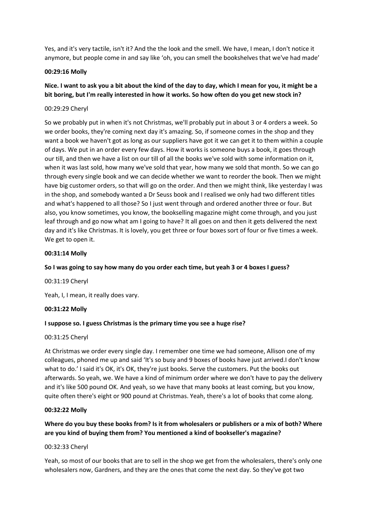Yes, and it's very tactile, isn't it? And the the look and the smell. We have, I mean, I don't notice it anymore, but people come in and say like 'oh, you can smell the bookshelves that we've had made'

## **00:29:16 Molly**

## **Nice. I want to ask you a bit about the kind of the day to day, which I mean for you, it might be a bit boring, but I'm really interested in how it works. So how often do you get new stock in?**

## 00:29:29 Cheryl

So we probably put in when it's not Christmas, we'll probably put in about 3 or 4 orders a week. So we order books, they're coming next day it's amazing. So, if someone comes in the shop and they want a book we haven't got as long as our suppliers have got it we can get it to them within a couple of days. We put in an order every few days. How it works is someone buys a book, it goes through our till, and then we have a list on our till of all the books we've sold with some information on it, when it was last sold, how many we've sold that year, how many we sold that month. So we can go through every single book and we can decide whether we want to reorder the book. Then we might have big customer orders, so that will go on the order. And then we might think, like yesterday I was in the shop, and somebody wanted a Dr Seuss book and I realised we only had two different titles and what's happened to all those? So I just went through and ordered another three or four. But also, you know sometimes, you know, the bookselling magazine might come through, and you just leaf through and go now what am I going to have? It all goes on and then it gets delivered the next day and it's like Christmas. It is lovely, you get three or four boxes sort of four or five times a week. We get to open it.

## **00:31:14 Molly**

## **So I was going to say how many do you order each time, but yeah 3 or 4 boxes I guess?**

00:31:19 Cheryl

Yeah, I, I mean, it really does vary.

## **00:31:22 Molly**

## **I suppose so. I guess Christmas is the primary time you see a huge rise?**

## 00:31:25 Cheryl

At Christmas we order every single day. I remember one time we had someone, Allison one of my colleagues, phoned me up and said 'It's so busy and 9 boxes of books have just arrived.I don't know what to do.' I said it's OK, it's OK, they're just books. Serve the customers. Put the books out afterwards. So yeah, we. We have a kind of minimum order where we don't have to pay the delivery and it's like 500 pound OK. And yeah, so we have that many books at least coming, but you know, quite often there's eight or 900 pound at Christmas. Yeah, there's a lot of books that come along.

## **00:32:22 Molly**

## **Where do you buy these books from? Is it from wholesalers or publishers or a mix of both? Where are you kind of buying them from? You mentioned a kind of bookseller's magazine?**

## 00:32:33 Cheryl

Yeah, so most of our books that are to sell in the shop we get from the wholesalers, there's only one wholesalers now, Gardners, and they are the ones that come the next day. So they've got two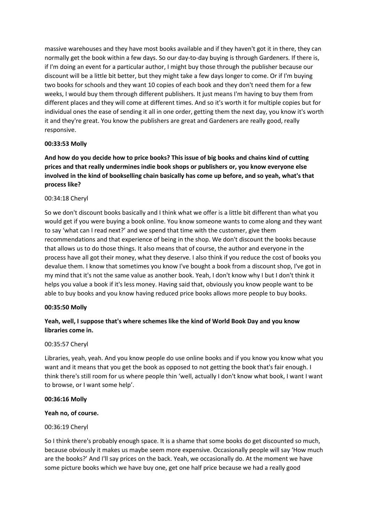massive warehouses and they have most books available and if they haven't got it in there, they can normally get the book within a few days. So our day-to-day buying is through Gardeners. If there is, if I'm doing an event for a particular author, I might buy those through the publisher because our discount will be a little bit better, but they might take a few days longer to come. Or if I'm buying two books for schools and they want 10 copies of each book and they don't need them for a few weeks, I would buy them through different publishers. It just means I'm having to buy them from different places and they will come at different times. And so it's worth it for multiple copies but for individual ones the ease of sending it all in one order, getting them the next day, you know it's worth it and they're great. You know the publishers are great and Gardeners are really good, really responsive.

## **00:33:53 Molly**

**And how do you decide how to price books? This issue of big books and chains kind of cutting prices and that really undermines indie book shops or publishers or, you know everyone else involved in the kind of bookselling chain basically has come up before, and so yeah, what's that process like?**

## 00:34:18 Cheryl

So we don't discount books basically and I think what we offer is a little bit different than what you would get if you were buying a book online. You know someone wants to come along and they want to say 'what can I read next?' and we spend that time with the customer, give them recommendations and that experience of being in the shop. We don't discount the books because that allows us to do those things. It also means that of course, the author and everyone in the process have all got their money, what they deserve. I also think if you reduce the cost of books you devalue them. I know that sometimes you know I've bought a book from a discount shop, I've got in my mind that it's not the same value as another book. Yeah, I don't know why I but I don't think it helps you value a book if it's less money. Having said that, obviously you know people want to be able to buy books and you know having reduced price books allows more people to buy books.

## **00:35:50 Molly**

## **Yeah, well, I suppose that's where schemes like the kind of World Book Day and you know libraries come in.**

## 00:35:57 Cheryl

Libraries, yeah, yeah. And you know people do use online books and if you know you know what you want and it means that you get the book as opposed to not getting the book that's fair enough. I think there's still room for us where people thin 'well, actually I don't know what book, I want I want to browse, or I want some help'.

## **00:36:16 Molly**

## **Yeah no, of course.**

## 00:36:19 Cheryl

So I think there's probably enough space. It is a shame that some books do get discounted so much, because obviously it makes us maybe seem more expensive. Occasionally people will say 'How much are the books?' And I'll say prices on the back. Yeah, we occasionally do. At the moment we have some picture books which we have buy one, get one half price because we had a really good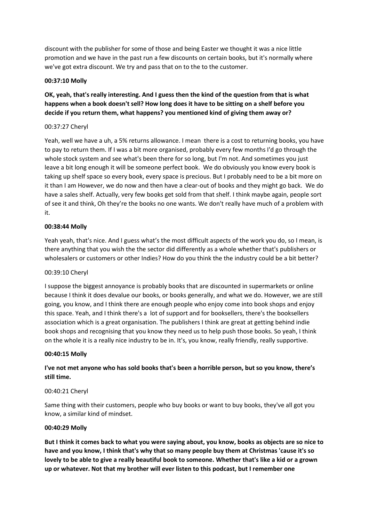discount with the publisher for some of those and being Easter we thought it was a nice little promotion and we have in the past run a few discounts on certain books, but it's normally where we've got extra discount. We try and pass that on to the to the customer.

## **00:37:10 Molly**

## **OK, yeah, that's really interesting. And I guess then the kind of the question from that is what happens when a book doesn't sell? How long does it have to be sitting on a shelf before you decide if you return them, what happens? you mentioned kind of giving them away or?**

## 00:37:27 Cheryl

Yeah, well we have a uh, a 5% returns allowance. I mean there is a cost to returning books, you have to pay to return them. If I was a bit more organised, probably every few months I'd go through the whole stock system and see what's been there for so long, but I'm not. And sometimes you just leave a bit long enough it will be someone perfect book. We do obviously you know every book is taking up shelf space so every book, every space is precious. But I probably need to be a bit more on it than I am However, we do now and then have a clear-out of books and they might go back. We do have a sales shelf. Actually, very few books get sold from that shelf. I think maybe again, people sort of see it and think, Oh they're the books no one wants. We don't really have much of a problem with it.

## **00:38:44 Molly**

Yeah yeah, that's nice. And I guess what's the most difficult aspects of the work you do, so I mean, is there anything that you wish the the sector did differently as a whole whether that's publishers or wholesalers or customers or other Indies? How do you think the the industry could be a bit better?

## 00:39:10 Cheryl

I suppose the biggest annoyance is probably books that are discounted in supermarkets or online because I think it does devalue our books, or books generally, and what we do. However, we are still going, you know, and I think there are enough people who enjoy come into book shops and enjoy this space. Yeah, and I think there's a lot of support and for booksellers, there's the booksellers association which is a great organisation. The publishers I think are great at getting behind indie book shops and recognising that you know they need us to help push those books. So yeah, I think on the whole it is a really nice industry to be in. It's, you know, really friendly, really supportive.

## **00:40:15 Molly**

## **I've not met anyone who has sold books that's been a horrible person, but so you know, there's still time.**

## 00:40:21 Cheryl

Same thing with their customers, people who buy books or want to buy books, they've all got you know, a similar kind of mindset.

## **00:40:29 Molly**

**But I think it comes back to what you were saying about, you know, books as objects are so nice to have and you know, I think that's why that so many people buy them at Christmas 'cause it's so lovely to be able to give a really beautiful book to someone. Whether that's like a kid or a grown up or whatever. Not that my brother will ever listen to this podcast, but I remember one**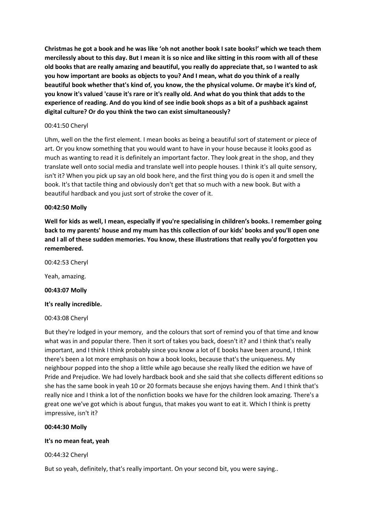**Christmas he got a book and he was like 'oh not another book I sate books!' which we teach them mercilessly about to this day. But I mean it is so nice and like sitting in this room with all of these old books that are really amazing and beautiful, you really do appreciate that, so I wanted to ask you how important are books as objects to you? And I mean, what do you think of a really beautiful book whether that's kind of, you know, the the physical volume. Or maybe it's kind of, you know it's valued 'cause it's rare or it's really old. And what do you think that adds to the experience of reading. And do you kind of see indie book shops as a bit of a pushback against digital culture? Or do you think the two can exist simultaneously?**

## 00:41:50 Cheryl

Uhm, well on the the first element. I mean books as being a beautiful sort of statement or piece of art. Or you know something that you would want to have in your house because it looks good as much as wanting to read it is definitely an important factor. They look great in the shop, and they translate well onto social media and translate well into people houses. I think it's all quite sensory, isn't it? When you pick up say an old book here, and the first thing you do is open it and smell the book. It's that tactile thing and obviously don't get that so much with a new book. But with a beautiful hardback and you just sort of stroke the cover of it.

## **00:42:50 Molly**

**Well for kids as well, I mean, especially if you're specialising in children's books. I remember going back to my parents' house and my mum has this collection of our kids' books and you'll open one and I all of these sudden memories. You know, these illustrations that really you'd forgotten you remembered.**

00:42:53 Cheryl

Yeah, amazing.

**00:43:07 Molly**

## **It's really incredible.**

00:43:08 Cheryl

But they're lodged in your memory, and the colours that sort of remind you of that time and know what was in and popular there. Then it sort of takes you back, doesn't it? and I think that's really important, and I think I think probably since you know a lot of E books have been around, I think there's been a lot more emphasis on how a book looks, because that's the uniqueness. My neighbour popped into the shop a little while ago because she really liked the edition we have of Pride and Prejudice. We had lovely hardback book and she said that she collects different editions so she has the same book in yeah 10 or 20 formats because she enjoys having them. And I think that's really nice and I think a lot of the nonfiction books we have for the children look amazing. There's a great one we've got which is about fungus, that makes you want to eat it. Which I think is pretty impressive, isn't it?

## **00:44:30 Molly**

## **It's no mean feat, yeah**

00:44:32 Cheryl

But so yeah, definitely, that's really important. On your second bit, you were saying..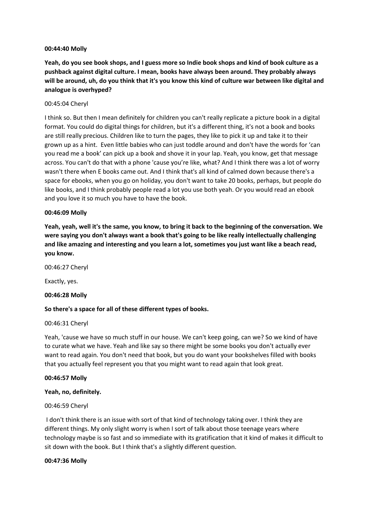## **00:44:40 Molly**

**Yeah, do you see book shops, and I guess more so Indie book shops and kind of book culture as a pushback against digital culture. I mean, books have always been around. They probably always will be around, uh, do you think that it's you know this kind of culture war between like digital and analogue is overhyped?** 

## 00:45:04 Cheryl

I think so. But then I mean definitely for children you can't really replicate a picture book in a digital format. You could do digital things for children, but it's a different thing, it's not a book and books are still really precious. Children like to turn the pages, they like to pick it up and take it to their grown up as a hint. Even little babies who can just toddle around and don't have the words for 'can you read me a book' can pick up a book and shove it in your lap. Yeah, you know, get that message across. You can't do that with a phone 'cause you're like, what? And I think there was a lot of worry wasn't there when E books came out. And I think that's all kind of calmed down because there's a space for ebooks, when you go on holiday, you don't want to take 20 books, perhaps, but people do like books, and I think probably people read a lot you use both yeah. Or you would read an ebook and you love it so much you have to have the book.

## **00:46:09 Molly**

**Yeah, yeah, well it's the same, you know, to bring it back to the beginning of the conversation. We were saying you don't always want a book that's going to be like really intellectually challenging and like amazing and interesting and you learn a lot, sometimes you just want like a beach read, you know.**

00:46:27 Cheryl

Exactly, yes.

## **00:46:28 Molly**

## **So there's a space for all of these different types of books.**

## 00:46:31 Cheryl

Yeah, 'cause we have so much stuff in our house. We can't keep going, can we? So we kind of have to curate what we have. Yeah and like say so there might be some books you don't actually ever want to read again. You don't need that book, but you do want your bookshelves filled with books that you actually feel represent you that you might want to read again that look great.

## **00:46:57 Molly**

#### **Yeah, no, definitely.**

## 00:46:59 Cheryl

I don't think there is an issue with sort of that kind of technology taking over. I think they are different things. My only slight worry is when I sort of talk about those teenage years where technology maybe is so fast and so immediate with its gratification that it kind of makes it difficult to sit down with the book. But I think that's a slightly different question.

#### **00:47:36 Molly**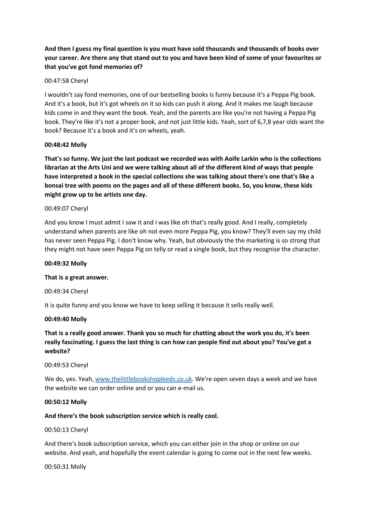## **And then I guess my final question is you must have sold thousands and thousands of books over your career. Are there any that stand out to you and have been kind of some of your favourites or that you've got fond memories of?**

## 00:47:58 Cheryl

I wouldn't say fond memories, one of our bestselling books is funny because it's a Peppa Pig book. And it's a book, but it's got wheels on it so kids can push it along. And it makes me laugh because kids come in and they want the book. Yeah, and the parents are like you're not having a Peppa Pig book. They're like it's not a proper book, and not just little kids. Yeah, sort of 6,7,8 year olds want the book? Because it's a book and it's on wheels, yeah.

## **00:48:42 Molly**

**That's so funny. We just the last podcast we recorded was with Aoife Larkin who is the collections librarian at the Arts Uni and we were talking about all of the different kind of ways that people have interpreted a book in the special collections she was talking about there's one that's like a bonsai tree with poems on the pages and all of these different books. So, you know, these kids might grow up to be artists one day.** 

## 00:49:07 Cheryl

And you know I must admit I saw it and I was like oh that's really good. And I really, completely understand when parents are like oh not even more Peppa Pig, you know? They'll even say my child has never seen Peppa Pig. I don't know why. Yeah, but obviously the the marketing is so strong that they might not have seen Peppa Pig on telly or read a single book, but they recognise the character.

## **00:49:32 Molly**

## **That is a great answer.**

00:49:34 Cheryl

It is quite funny and you know we have to keep selling it because it sells really well.

## **00:49:40 Molly**

**That is a really good answer. Thank you so much for chatting about the work you do, it's been really fascinating. I guess the last thing is can how can people find out about you? You've got a website?**

## 00:49:53 Cheryl

We do, yes. Yeah[, www.thelittlebookshopleeds.co.uk.](http://www.thelittlebookshopleeds.co.uk/) We're open seven days a week and we have the website we can order online and or you can e-mail us.

## **00:50:12 Molly**

## **And there's the book subscription service which is really cool.**

00:50:13 Cheryl

And there's book subscription service, which you can either join in the shop or online on our website. And yeah, and hopefully the event calendar is going to come out in the next few weeks.

00:50:31 Molly